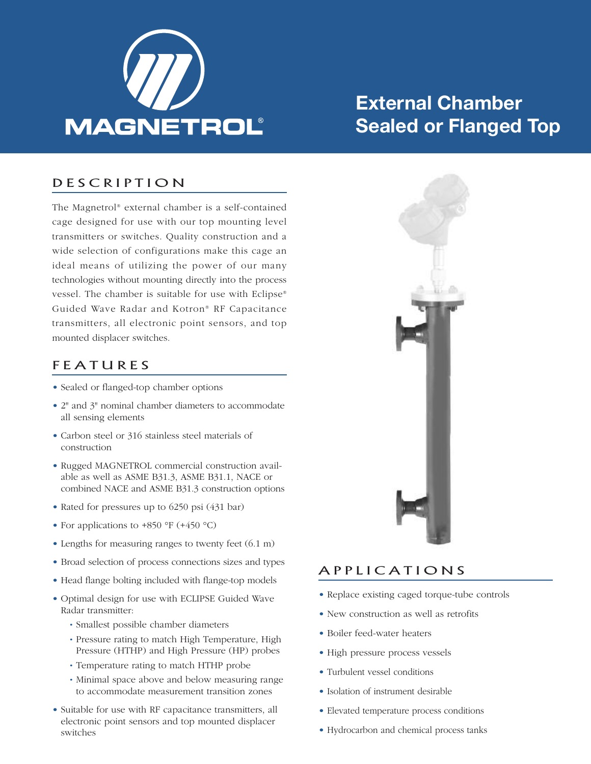

# **External Chamber Sealed or Flanged Top**

### D E S C R I P T I O N

The Magnetrol ® external chamber is a self-contained cage designed for use with our top mounting level transmitters or switches. Quality construction and a wide selection of configurations make this cage an ideal means of utilizing the power of our many technologies without mounting directly into the process vessel. The chamber is suitable for use with Eclipse® Guided Wave Radar and Kotron® RF Capacitance transmitters, all electronic point sensors, and top mounted displacer switches.

### **F E A T U R E S**

- Sealed or flanged-top chamber options
- 2" and 3" nominal chamber diameters to accommodate all sensing elements
- Carbon steel or 316 stainless steel materials of construction
- Rugged MAGNETROL commercial construction available as well as ASME B31.3, ASME B31.1, NACE or combined NACE and ASME B31.3 construction options
- Rated for pressures up to 6250 psi (431 bar)
- For applications to  $+850$  °F ( $+450$  °C)
- Lengths for measuring ranges to twenty feet  $(6.1 \text{ m})$
- Broad selection of process connections sizes and types
- Head flange bolting included with flange-top models
- Optimal design for use with ECLIPSE Guided Wave Radar transmitter:
	- Smallest possible chamber diameters
	- Pressure rating to match High Temperature, High Pressure (HTHP) and High Pressure (HP) probes
	- Temperature rating to match HTHP probe
	- Minimal space above and below measuring range to accommodate measurement transition zones
- Suitable for use with RF capacitance transmitters, all electronic point sensors and top mounted displacer switches



### A P P L I C A T I O N S

- Replace existing caged torque-tube controls
- New construction as well as retrofits
- Boiler feed-water heaters
- High pressure process vessels
- Turbulent vessel conditions
- Isolation of instrument desirable
- Elevated temperature process conditions
- Hydrocarbon and chemical process tanks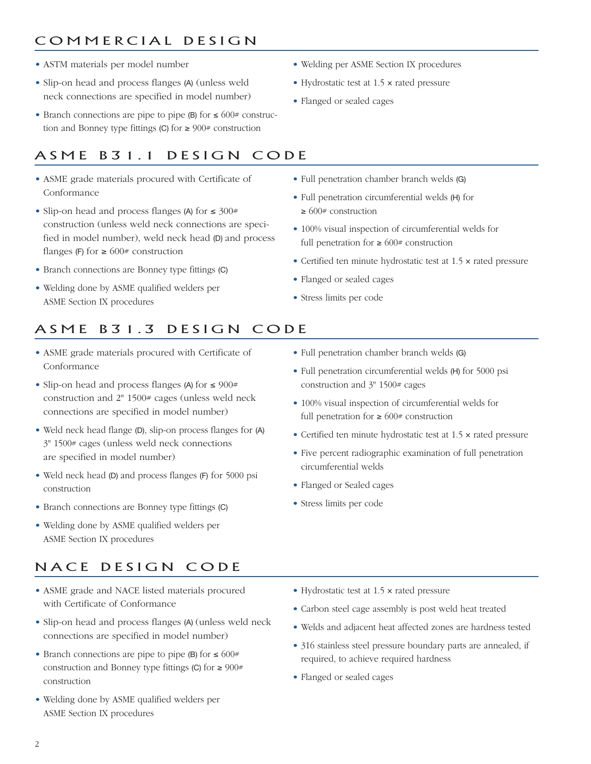## COMMERCIAL DESIGN

- ASTM materials per model number
- Slip-on head and process flanges (A) (unless weld neck connections are specified in model number)
- Branch connections are pipe to pipe (B) for ≤ 600# construction and Bonney type fittings (C) for  $\geq 900$ # construction

# ASME B31.1 DESIGN CODE

- ASME grade materials procured with Certificate of Conformance
- Slip-on head and process flanges (A) for ≤ 300# construction (unless weld neck connections are specified in model number), weld neck head (D) and process flanges (F) for  $\geq 600$ # construction
- Branch connections are Bonney type fittings (C)
- Welding done by ASME qualified welders per ASME Section IX procedures
- Welding per ASME Section IX procedures
- Hydrostatic test at 1.5 × rated pressure
- Flanged or sealed cages
- Full penetration chamber branch welds (G)
- Full penetration circumferential welds (H) for  $\geq 600$ # construction
- 100% visual inspection of circumferential welds for full penetration for  $\geq 600$ # construction
- Certified ten minute hydrostatic test at 1.5 × rated pressure
- Flanged or sealed cages
- Stress limits per code

## ASME B31.3 DESIGN CODE

- ASME grade materials procured with Certificate of Conformance
- Slip-on head and process flanges (A) for ≤ 900# construction and 2" 1500# cages (unless weld neck connections are specified in model number)
- Weld neck head flange (D), slip-on process flanges for (A) 3" 1500# cages (unless weld neck connections are specified in model number)
- Weld neck head (D) and process flanges (F) for 5000 psi construction
- Branch connections are Bonney type fittings (C)
- Welding done by ASME qualified welders per ASME Section IX procedures

## NACE DESIGN CODE

- ASME grade and NACE listed materials procured with Certificate of Conformance
- Slip-on head and process flanges (A) (unless weld neck connections are specified in model number)
- Branch connections are pipe to pipe (B) for  $\leq 600#$ construction and Bonney type fittings (C) for  $\geq 900#$ construction
- Welding done by ASME qualified welders per ASME Section IX procedures
- Full penetration chamber branch welds (G)
- Full penetration circumferential welds (H) for 5000 psi construction and 3" 1500# cages
- 100% visual inspection of circumferential welds for full penetration for  $\geq 600$ # construction
- Certified ten minute hydrostatic test at 1.5 × rated pressure
- Five percent radiographic examination of full penetration circumferential welds
- Flanged or Sealed cages
- Stress limits per code
- Hydrostatic test at 1.5 x rated pressure
- Carbon steel cage assembly is post weld heat treated
- Welds and adjacent heat affected zones are hardness tested
- 316 stainless steel pressure boundary parts are annealed, if required, to achieve required hardness
- Flanged or sealed cages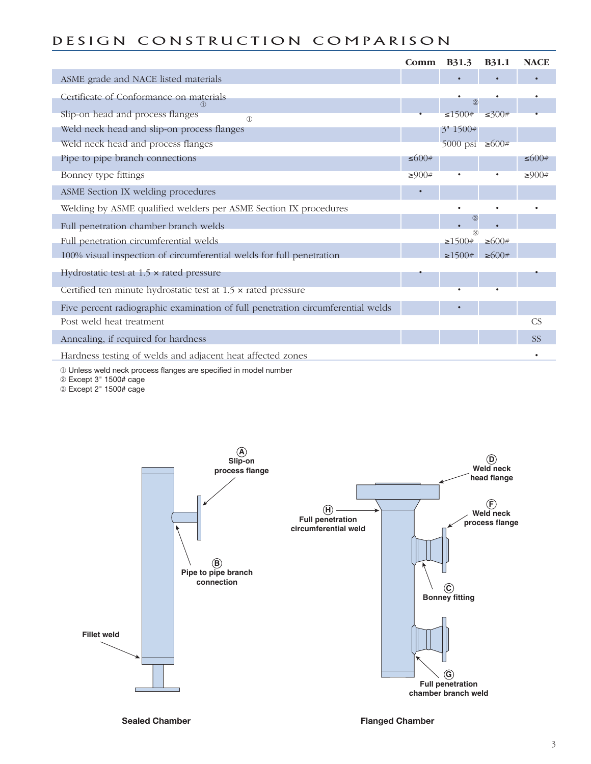## DESIGN CONSTRUCTION COMPARISON

|                                                                                 | Comm  | <b>B</b> 31.3              | <b>B31.1</b> | <b>NACE</b> |
|---------------------------------------------------------------------------------|-------|----------------------------|--------------|-------------|
| ASME grade and NACE listed materials                                            |       |                            |              |             |
| Certificate of Conformance on materials                                         |       | (2)                        |              |             |
| Slip-on head and process flanges<br>(1)                                         |       | $\leq 1500#$               | ≤300#        |             |
| Weld neck head and slip-on process flanges                                      |       | 3'' 1500#                  |              |             |
| Weld neck head and process flanges                                              |       | 5000 psi $\geq 600#$       |              |             |
| Pipe to pipe branch connections                                                 | 5600# |                            |              | ≤600#       |
| Bonney type fittings                                                            | ≥900# |                            |              | ≥900#       |
| ASME Section IX welding procedures                                              |       |                            |              |             |
| Welding by ASME qualified welders per ASME Section IX procedures                |       |                            |              |             |
| Full penetration chamber branch welds                                           |       | $\circled{3}$<br>$\bullet$ |              |             |
| Full penetration circumferential welds                                          |       | (3)<br>$\geq 1500#$        | $\geq 600#$  |             |
| 100% visual inspection of circumferential welds for full penetration            |       | $\geq 1500#$               | $\geq 600#$  |             |
| Hydrostatic test at $1.5 \times$ rated pressure                                 |       |                            |              |             |
| Certified ten minute hydrostatic test at $1.5 \times$ rated pressure            |       |                            |              |             |
| Five percent radiographic examination of full penetration circumferential welds |       |                            |              |             |
| Post weld heat treatment                                                        |       |                            |              | CS          |
|                                                                                 |       |                            |              |             |
| Annealing, if required for hardness                                             |       |                            |              | <b>SS</b>   |
| Hardness testing of welds and adjacent heat affected zones                      |       |                            |              |             |

➀ Unless weld neck process flanges are specified in model number

➁ Except 3" 1500# cage

➂ Except 2" 1500# cage

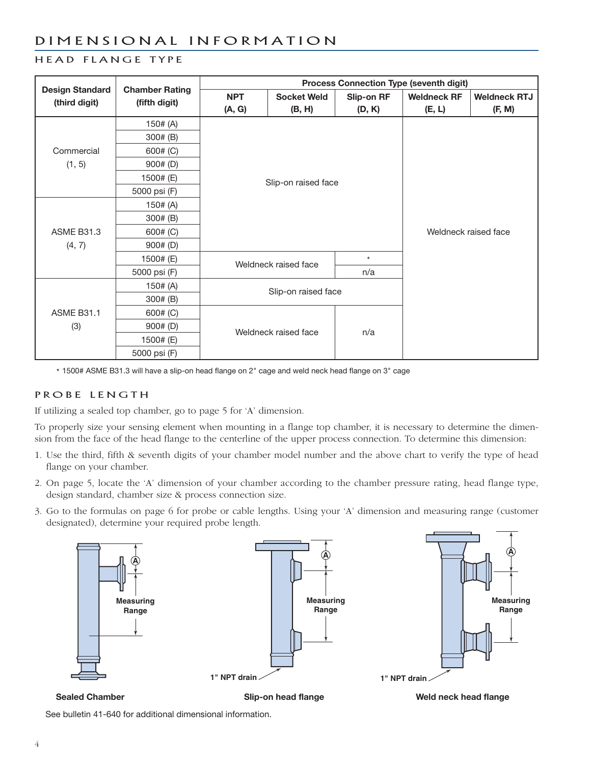### D I M E N S I O N A L I N F O R M A T I O N

### HEAD FLANGE TYPE

| <b>Design Standard</b> | <b>Chamber Rating</b> | <b>Process Connection Type (seventh digit)</b> |                     |                      |                    |                     |  |
|------------------------|-----------------------|------------------------------------------------|---------------------|----------------------|--------------------|---------------------|--|
| (third digit)          | (fifth digit)         | <b>NPT</b>                                     | <b>Socket Weld</b>  | Slip-on RF           | <b>Weldneck RF</b> | <b>Weldneck RTJ</b> |  |
|                        |                       | (A, G)                                         | (B, H)              | (D, K)               | (E, L)             | (F, M)              |  |
|                        | 150# (A)              |                                                |                     |                      |                    |                     |  |
|                        | 300# (B)              |                                                |                     |                      |                    |                     |  |
| Commercial             | 600# (C)              |                                                |                     |                      |                    |                     |  |
| (1, 5)                 | 900# (D)              |                                                |                     |                      |                    |                     |  |
|                        | 1500# (E)             |                                                | Slip-on raised face |                      |                    |                     |  |
|                        | 5000 psi (F)          |                                                |                     |                      |                    |                     |  |
|                        | 150# (A)              |                                                |                     | Weldneck raised face |                    |                     |  |
|                        | 300# (B)              |                                                |                     |                      |                    |                     |  |
| <b>ASME B31.3</b>      | 600# (C)              |                                                |                     |                      |                    |                     |  |
| (4, 7)                 | 900# (D)              |                                                |                     |                      |                    |                     |  |
|                        | 1500# (E)             | Weldneck raised face                           |                     | $\star$              |                    |                     |  |
|                        | 5000 psi (F)          |                                                |                     | n/a                  |                    |                     |  |
|                        | 150# (A)              | Slip-on raised face                            |                     |                      |                    |                     |  |
|                        | 300# (B)              |                                                |                     |                      |                    |                     |  |
| <b>ASME B31.1</b>      | 600# (C)              | Weldneck raised face                           |                     |                      |                    |                     |  |
| (3)                    | 900# (D)              |                                                |                     | n/a                  |                    |                     |  |
|                        | 1500# (E)             |                                                |                     |                      |                    |                     |  |
|                        | 5000 psi (F)          |                                                |                     |                      |                    |                     |  |

\* 1500# ASME B31.3 will have a slip-on head flange on 2" cage and weld neck head flange on 3" cage

### PROBE LENGTH

If utilizing a sealed top chamber, go to page 5 for 'A' dimension.

To properly size your sensing element when mounting in a flange top chamber, it is necessary to determine the dimension from the face of the head flange to the centerline of the upper process connection. To determine this dimension:

- 1. Use the third, fifth & seventh digits of your chamber model number and the above chart to verify the type of head flange on your chamber.
- 2. On page 5, locate the 'A' dimension of your chamber according to the chamber pressure rating, head flange type, design standard, chamber size & process connection size.
- 3. Go to the formulas on page 6 for probe or cable lengths. Using your 'A' dimension and measuring range (customer designated), determine your required probe length.



See bulletin 41-640 for additional dimensional information.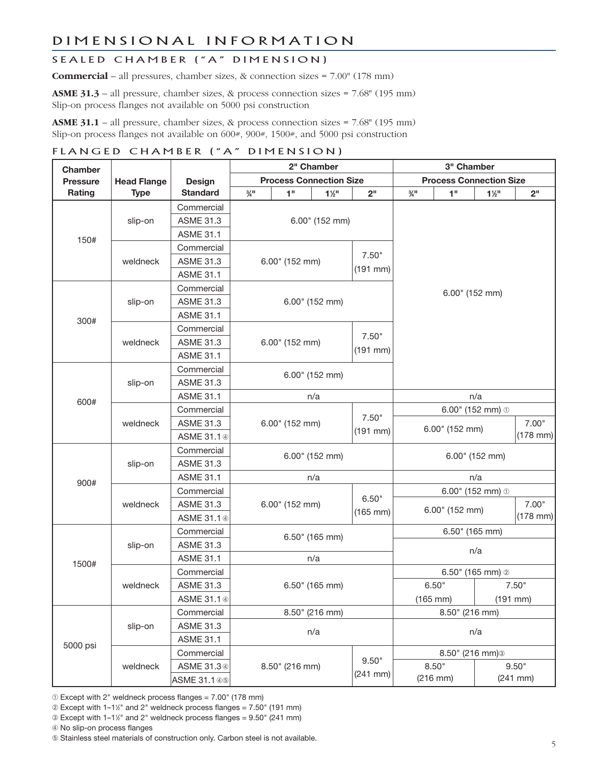### DIMENSIONAL INFORMATION

### SEALED CHAMBER ("A" DIMENSION)

**Commercial** – all pressures, chamber sizes, & connection sizes = 7.00" (178 mm)

**ASME 31.3** – all pressure, chamber sizes, & process connection sizes = 7.68" (195 mm) Slip-on process flanges not available on 5000 psi construction

**ASME 31.1** – all pressure, chamber sizes, & process connection sizes = 7.68" (195 mm) Slip-on process flanges not available on 600#, 900#, 1500#, and 5000 psi construction

### FLANGED CHAMBER ("A" DIMENSION)

| <b>Chamber</b>  |                             |                         | 2" Chamber       |                | 3" Chamber                    |                                |                          |                                |                |                |                 |
|-----------------|-----------------------------|-------------------------|------------------|----------------|-------------------------------|--------------------------------|--------------------------|--------------------------------|----------------|----------------|-----------------|
| <b>Pressure</b> | <b>Head Flange</b>          | Design                  |                  |                |                               | <b>Process Connection Size</b> |                          | <b>Process Connection Size</b> |                |                |                 |
| Rating          | <b>Type</b>                 | <b>Standard</b>         | $\frac{3}{4}$ II |                | 1 <sup>0</sup>                | $1\frac{1}{2}$                 | 2 <sup>II</sup>          | $\frac{3}{4}$ II               | 1"             | $1\frac{1}{2}$ | 2 <sup>11</sup> |
|                 |                             | Commercial              |                  |                |                               |                                |                          |                                |                |                |                 |
| 150#            | slip-on                     | <b>ASME 31.3</b>        |                  |                |                               | 6.00" (152 mm)                 |                          |                                |                |                |                 |
|                 |                             | <b>ASME 31.1</b>        |                  |                |                               |                                |                          |                                |                |                |                 |
|                 |                             | Commercial              |                  |                |                               |                                |                          |                                |                |                |                 |
|                 | weldneck                    | <b>ASME 31.3</b>        | 6.00" (152 mm)   |                |                               |                                | 7.50"                    |                                |                |                |                 |
|                 |                             | <b>ASME 31.1</b>        |                  |                |                               |                                | $(191$ mm $)$            |                                |                |                |                 |
|                 |                             | Commercial              |                  |                |                               |                                |                          | 6.00" (152 mm)                 |                |                |                 |
|                 | slip-on                     | <b>ASME 31.3</b>        |                  |                |                               | 6.00" (152 mm)                 |                          |                                |                |                |                 |
| 300#            |                             | <b>ASME 31.1</b>        |                  |                |                               |                                |                          |                                |                |                |                 |
|                 |                             | Commercial              |                  |                |                               |                                |                          |                                |                |                |                 |
|                 | weldneck                    | <b>ASME 31.3</b>        |                  | 6.00" (152 mm) |                               |                                | 7.50"                    |                                |                |                |                 |
|                 |                             | <b>ASME 31.1</b>        |                  |                |                               |                                | $(191$ mm $)$            |                                |                |                |                 |
|                 |                             | Commercial              | 6.00" (152 mm)   |                |                               |                                |                          |                                |                |                |                 |
|                 | slip-on                     | <b>ASME 31.3</b>        |                  |                |                               |                                |                          |                                |                |                |                 |
| 600#            |                             | <b>ASME 31.1</b>        | n/a              |                |                               | n/a                            |                          |                                |                |                |                 |
|                 | weldneck                    | Commercial              | 6.00" (152 mm)   |                | 6.00" (152 mm) $\circledcirc$ |                                |                          |                                |                |                |                 |
|                 |                             | <b>ASME 31.3</b>        |                  |                | 7.50"                         | 6.00" (152 mm)                 |                          |                                | 7.00"          |                |                 |
|                 |                             | ASME 31.1 4             |                  |                | $(191$ mm $)$                 |                                |                          |                                | $(178$ mm $)$  |                |                 |
|                 |                             | Commercial              | 6.00" (152 mm)   |                |                               |                                |                          |                                |                |                |                 |
|                 | slip-on                     | <b>ASME 31.3</b>        |                  |                | 6.00" (152 mm)                |                                |                          |                                |                |                |                 |
| 900#            |                             | <b>ASME 31.1</b>        | n/a              |                |                               | n/a                            |                          |                                |                |                |                 |
|                 |                             | Commercial              | 6.00" (152 mm)   |                |                               | 6.00" (152 mm) $\circledcirc$  |                          |                                |                |                |                 |
|                 | weldneck                    | <b>ASME 31.3</b>        |                  |                | 6.50"                         |                                |                          |                                | 7.00"          |                |                 |
|                 |                             | ASME 31.1 4             |                  |                | $(165$ mm $)$                 | 6.00" (152 mm)                 |                          |                                | $(178$ mm $)$  |                |                 |
|                 |                             | Commercial              |                  |                |                               |                                |                          |                                | 6.50" (165 mm) |                |                 |
|                 | slip-on                     | <b>ASME 31.3</b>        | 6.50" (165 mm)   |                |                               | n/a                            |                          |                                |                |                |                 |
| 1500#           |                             | <b>ASME 31.1</b>        | n/a              |                |                               |                                |                          |                                |                |                |                 |
|                 |                             | Commercial              | 6.50" (165 mm)   |                |                               |                                | 6.50" (165 mm) $\oslash$ |                                |                |                |                 |
|                 | weldneck                    | <b>ASME 31.3</b>        |                  |                |                               | 6.50"                          |                          |                                | 7.50"          |                |                 |
|                 |                             | ASME 31.1 4             |                  |                |                               | $(165$ mm $)$                  | $(191$ mm $)$            |                                |                |                |                 |
|                 |                             | Commercial              |                  |                |                               | 8.50" (216 mm)                 |                          |                                | 8.50" (216 mm) |                |                 |
|                 | <b>ASME 31.3</b><br>slip-on |                         |                  |                |                               | n/a                            |                          |                                |                |                |                 |
| 5000 psi        |                             | n/a<br><b>ASME 31.1</b> |                  |                |                               |                                |                          |                                |                |                |                 |
|                 |                             | Commercial              |                  |                |                               |                                |                          | 8.50" (216 mm) <sup>3</sup>    |                |                |                 |
|                 | weldneck                    | ASME 31.34              |                  | 8.50" (216 mm) |                               |                                | 9.50"                    |                                | 8.50"<br>9.50" |                |                 |
|                 |                             | ASME 31.1 45            |                  |                | $(241$ mm $)$                 |                                | $(216$ mm $)$            |                                | $(241$ mm $)$  |                |                 |

➀ Except with 2" weldneck process flanges = 7.00" (178 mm)

➁ Except with 1–11 ⁄2" and 2" weldneck process flanges = 7.50" (191 mm)

➂ Except with 1–11 ⁄2" and 2" weldneck process flanges = 9.50" (241 mm)

➃ No slip-on process flanges

➄ Stainless steel materials of construction only. Carbon steel is not available.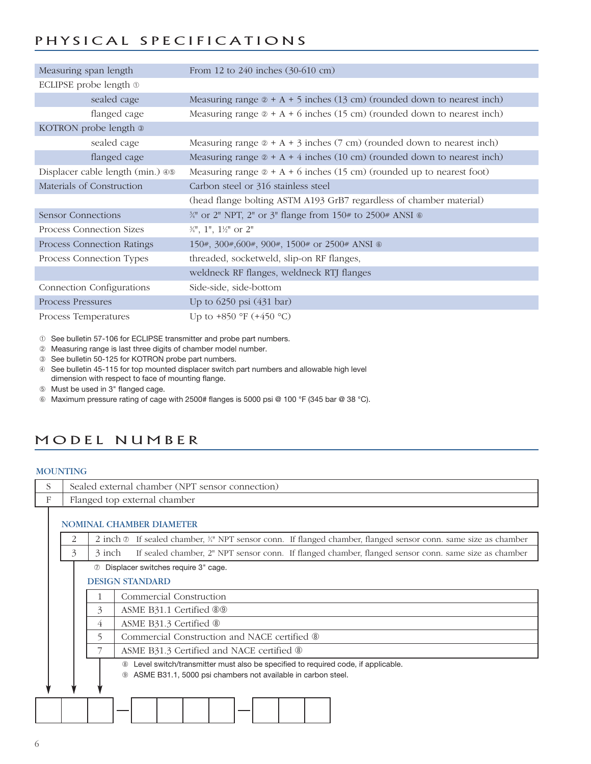## PHYSICAL SPECIFICATIONS

| Measuring span length            | From 12 to 240 inches (30-610 cm)                                                      |
|----------------------------------|----------------------------------------------------------------------------------------|
| ECLIPSE probe length $\odot$     |                                                                                        |
| sealed cage                      | Measuring range $\infty + A + 5$ inches (13 cm) (rounded down to nearest inch)         |
| flanged cage                     | Measuring range $\infty + A + 6$ inches (15 cm) (rounded down to nearest inch)         |
| KOTRON probe length ®            |                                                                                        |
| sealed cage                      | Measuring range $\textcircled{a}$ + A + 3 inches (7 cm) (rounded down to nearest inch) |
| flanged cage                     | Measuring range $\mathcal{D} + A + 4$ inches (10 cm) (rounded down to nearest inch)    |
| Displacer cable length (min.) 46 | Measuring range $\otimes$ + A + 6 inches (15 cm) (rounded up to nearest foot)          |
| Materials of Construction        | Carbon steel or 316 stainless steel                                                    |
|                                  | (head flange bolting ASTM A193 GrB7 regardless of chamber material)                    |
| Sensor Connections               | 3/4" or 2" NPT, 2" or 3" flange from 150# to 2500# ANSI ®                              |
| Process Connection Sizes         | $\frac{3}{4}$ ", 1", $1\frac{1}{2}$ " or 2"                                            |
| Process Connection Ratings       | 150#, 300#, 600#, 900#, 1500# or 2500# ANSI ®                                          |
| Process Connection Types         | threaded, socketweld, slip-on RF flanges,                                              |
|                                  | weldneck RF flanges, weldneck RTJ flanges                                              |
| Connection Configurations        | Side-side, side-bottom                                                                 |
| Process Pressures                | Up to 6250 psi (431 bar)                                                               |
| Process Temperatures             | Up to $+850$ °F ( $+450$ °C)                                                           |

➀ See bulletin 57-106 for ECLIPSE transmitter and probe part numbers.

- ➁ Measuring range is last three digits of chamber model number.
- ➂ See bulletin 50-125 for KOTRON probe part numbers.

➃ See bulletin 45-115 for top mounted displacer switch part numbers and allowable high level dimension with respect to face of mounting flange.

- ➄ Must be used in 3" flanged cage.
- ➅ Maximum pressure rating of cage with 2500# flanges is 5000 psi @ 100 °F (345 bar @ 38 °C).

### MODEL NUMBER

### **MOUNTING**

| S |   |                              | Sealed external chamber (NPT sensor connection)                                                                                                  |  |  |  |  |  |
|---|---|------------------------------|--------------------------------------------------------------------------------------------------------------------------------------------------|--|--|--|--|--|
| F |   | Flanged top external chamber |                                                                                                                                                  |  |  |  |  |  |
|   |   |                              | <b>NOMINAL CHAMBER DIAMETER</b>                                                                                                                  |  |  |  |  |  |
|   | 2 |                              | 2 inch $\circledcirc$ If sealed chamber, $\frac{3}{4}$ NPT sensor conn. If flanged chamber, flanged sensor conn. same size as chamber            |  |  |  |  |  |
|   | 3 | 3 inch                       | If sealed chamber, 2" NPT sensor conn. If flanged chamber, flanged sensor conn. same size as chamber                                             |  |  |  |  |  |
|   |   |                              | 10 Displacer switches require 3" cage.<br><b>DESIGN STANDARD</b>                                                                                 |  |  |  |  |  |
|   |   | 1                            | Commercial Construction                                                                                                                          |  |  |  |  |  |
|   |   | 3                            | ASME B31.1 Certified 89                                                                                                                          |  |  |  |  |  |
|   |   | 4                            | ASME B31.3 Certified <sup>®</sup>                                                                                                                |  |  |  |  |  |
|   |   | 5                            | Commercial Construction and NACE certified <sup>®</sup>                                                                                          |  |  |  |  |  |
|   |   |                              | ASME B31.3 Certified and NACE certified <sup>®</sup>                                                                                             |  |  |  |  |  |
|   |   |                              | Level switch/transmitter must also be specified to required code, if applicable.<br>ASME B31.1, 5000 psi chambers not available in carbon steel. |  |  |  |  |  |
|   |   |                              |                                                                                                                                                  |  |  |  |  |  |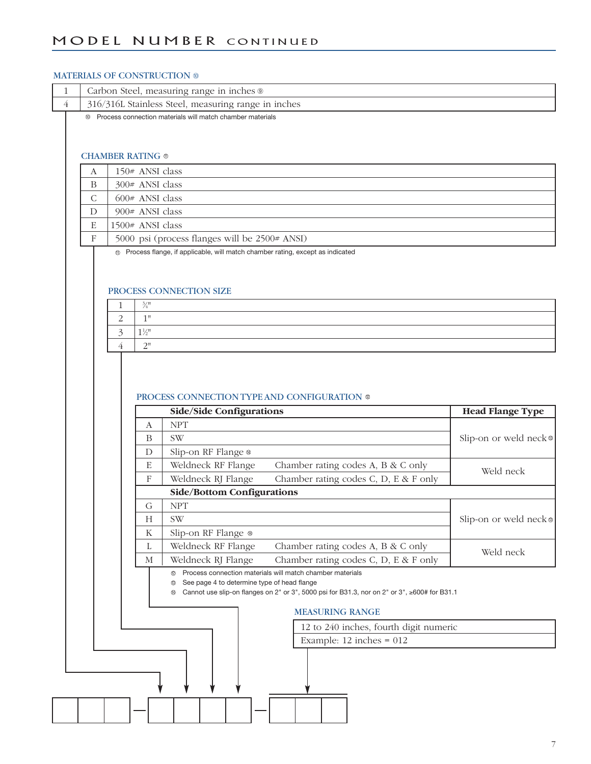### MODEL NUMBER CONTINUED

### MATERIALS OF CONSTRUCTION **®**

| 1 | Carbon Steel, measuring range in inches ® |                         |                  |                                                                                                   |                                        |                         |
|---|-------------------------------------------|-------------------------|------------------|---------------------------------------------------------------------------------------------------|----------------------------------------|-------------------------|
| 4 |                                           |                         |                  | 316/316L Stainless Steel, measuring range in inches                                               |                                        |                         |
|   | (10)                                      |                         |                  | Process connection materials will match chamber materials                                         |                                        |                         |
|   |                                           |                         |                  |                                                                                                   |                                        |                         |
|   |                                           |                         |                  |                                                                                                   |                                        |                         |
|   |                                           | <b>CHAMBER RATING ®</b> |                  |                                                                                                   |                                        |                         |
|   | А                                         |                         | 150# ANSI class  |                                                                                                   |                                        |                         |
|   | B                                         |                         | 300# ANSI class  |                                                                                                   |                                        |                         |
|   | C                                         |                         | 600# ANSI class  |                                                                                                   |                                        |                         |
|   | D                                         |                         | 900# ANSI class  |                                                                                                   |                                        |                         |
|   | E                                         |                         | 1500# ANSI class |                                                                                                   |                                        |                         |
|   | F                                         |                         |                  | 5000 psi (process flanges will be 2500# ANSI)                                                     |                                        |                         |
|   |                                           |                         |                  | <sup>10</sup> Process flange, if applicable, will match chamber rating, except as indicated       |                                        |                         |
|   |                                           |                         |                  |                                                                                                   |                                        |                         |
|   |                                           |                         |                  |                                                                                                   |                                        |                         |
|   |                                           |                         |                  | PROCESS CONNECTION SIZE                                                                           |                                        |                         |
|   |                                           | 1                       | $\frac{3}{4}$    |                                                                                                   |                                        |                         |
|   |                                           | $\overline{2}$          | $1"$             |                                                                                                   |                                        |                         |
|   |                                           | 3                       | $1\%$            |                                                                                                   |                                        |                         |
|   |                                           | 4                       | $2"$             |                                                                                                   |                                        |                         |
|   |                                           |                         |                  |                                                                                                   |                                        |                         |
|   |                                           |                         |                  |                                                                                                   |                                        |                         |
|   |                                           |                         |                  | PROCESS CONNECTION TYPE AND CONFIGURATION ®                                                       |                                        |                         |
|   |                                           |                         |                  |                                                                                                   |                                        |                         |
|   |                                           |                         |                  |                                                                                                   |                                        |                         |
|   |                                           |                         |                  | <b>Side/Side Configurations</b>                                                                   |                                        | <b>Head Flange Type</b> |
|   |                                           |                         | A                | <b>NPT</b>                                                                                        |                                        |                         |
|   |                                           |                         | B                | <b>SW</b>                                                                                         |                                        | Slip-on or weld neck®   |
|   |                                           |                         | D                | Slip-on RF Flange ®                                                                               |                                        |                         |
|   |                                           |                         | E                | Weldneck RF Flange                                                                                | Chamber rating codes A, B & C only     | Weld neck               |
|   |                                           |                         | F                | Weldneck RJ Flange                                                                                | Chamber rating codes C, D, E & F only  |                         |
|   |                                           |                         | G                | <b>Side/Bottom Configurations</b>                                                                 |                                        |                         |
|   |                                           |                         |                  | <b>NPT</b>                                                                                        |                                        |                         |
|   |                                           |                         | Н                | SW                                                                                                |                                        |                         |
|   |                                           |                         | $\mathbf K$      | Slip-on RF Flange ®                                                                               |                                        | Slip-on or weld neck®   |
|   |                                           |                         | $\mathbf L$<br>М | Weldneck RF Flange                                                                                | Chamber rating codes A, B & C only     | Weld neck               |
|   |                                           |                         |                  | Weldneck RJ Flange<br>Process connection materials will match chamber materials<br>◎              | Chamber rating codes C, D, E & F only  |                         |
|   |                                           |                         |                  | See page 4 to determine type of head flange                                                       |                                        |                         |
|   |                                           |                         |                  | Cannot use slip-on flanges on 2" or 3", 5000 psi for B31.3, nor on 2" or 3", ≥600# for B31.1<br>⊕ |                                        |                         |
|   |                                           |                         |                  | <b>MEASURING RANGE</b>                                                                            |                                        |                         |
|   |                                           |                         |                  |                                                                                                   | 12 to 240 inches, fourth digit numeric |                         |
|   |                                           |                         |                  |                                                                                                   | Example: $12$ inches = $012$           |                         |
|   |                                           |                         |                  |                                                                                                   |                                        |                         |
|   |                                           |                         |                  |                                                                                                   |                                        |                         |
|   |                                           |                         |                  |                                                                                                   |                                        |                         |
|   |                                           |                         |                  |                                                                                                   |                                        |                         |
|   |                                           |                         |                  |                                                                                                   |                                        |                         |